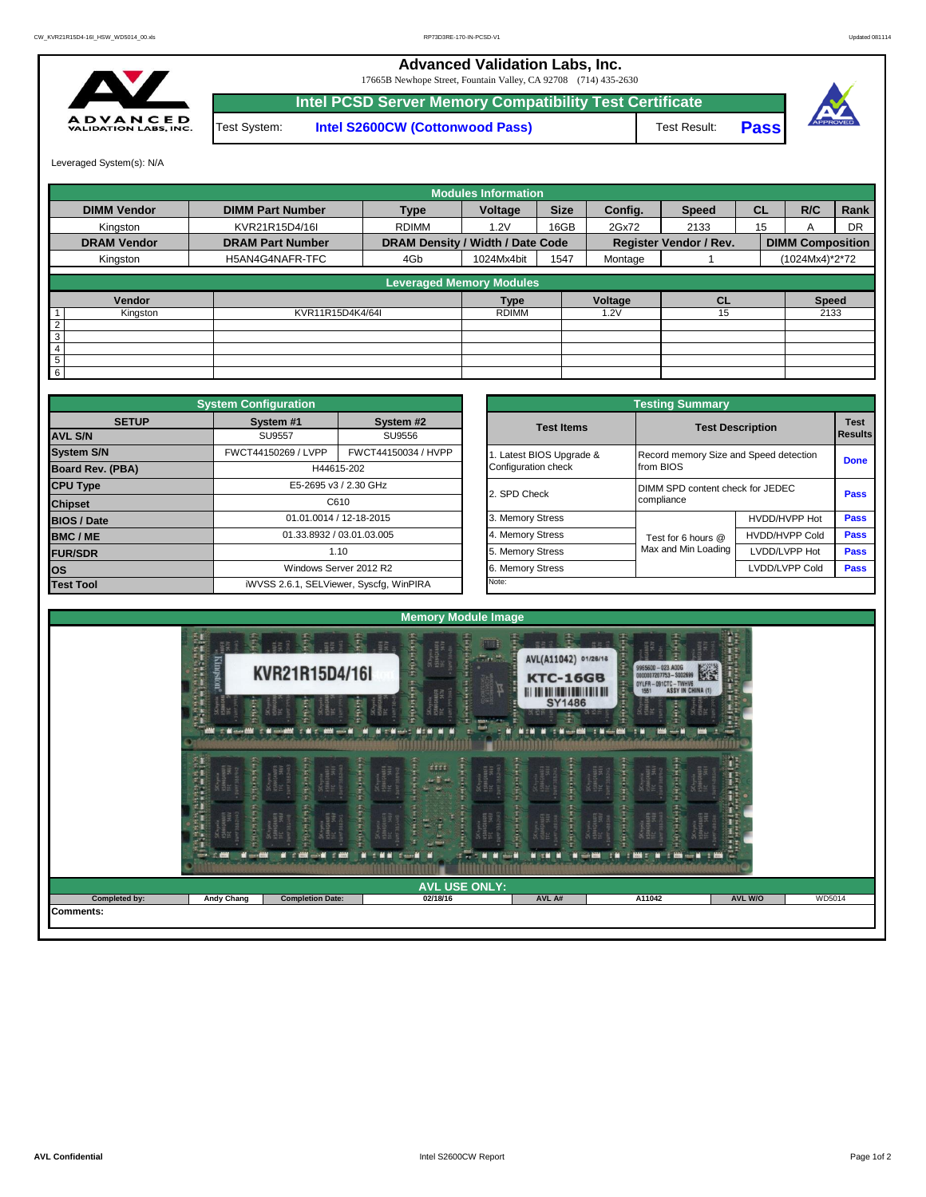17665B Newhope Street, Fountain Valley, CA 92708 (714) 435-2630 **Advanced Validation Labs, Inc.** 



**Intel PCSD Server Memory Compatibility Test Certificate** Test Result: **Pass** Test System: **Intel S2600CW (Cottonwood Pass)**





Leveraged System(s): N/A

|                    |                         |                                  | <b>Modules Information</b>      |             |         |                               |           |                         |      |
|--------------------|-------------------------|----------------------------------|---------------------------------|-------------|---------|-------------------------------|-----------|-------------------------|------|
| <b>DIMM Vendor</b> | <b>DIMM Part Number</b> | <b>Type</b>                      | Voltage                         | <b>Size</b> | Config. | <b>Speed</b>                  | <b>CL</b> | R/C                     | Rank |
| Kinaston           | KVR21R15D4/16I          | <b>RDIMM</b>                     | 1.2V                            | 16GB        | 2Gx72   | 2133                          | 15        |                         | DR   |
| <b>DRAM Vendor</b> | <b>DRAM Part Number</b> | DRAM Density / Width / Date Code |                                 |             |         | <b>Register Vendor / Rev.</b> |           | <b>DIMM Composition</b> |      |
| Kingston           | H5AN4G4NAFR-TFC         | 4Gb                              | 1024Mx4bit                      | 1547        | Montage |                               |           | (1024Mx4)*2*72          |      |
|                    |                         |                                  | <b>Leveraged Memory Modules</b> |             |         |                               |           |                         |      |
|                    |                         |                                  |                                 |             |         |                               |           |                         |      |
| Vendor             |                         |                                  | Type                            |             | Voltage | <b>CL</b>                     |           | <b>Speed</b>            |      |
| Kingston           | KVR11R15D4K4/64I        |                                  | <b>RDIMM</b>                    |             | 1.2V    | 15                            |           | 2133                    |      |
| 2                  |                         |                                  |                                 |             |         |                               |           |                         |      |
| $\overline{3}$     |                         |                                  |                                 |             |         |                               |           |                         |      |
| $\overline{4}$     |                         |                                  |                                 |             |         |                               |           |                         |      |
| 5                  |                         |                                  |                                 |             |         |                               |           |                         |      |
| $6 \,$             |                         |                                  |                                 |             |         |                               |           |                         |      |

|                    | <b>System Configuration</b> |                                         |  |                       | <b>Testing Summary</b>                 |                         |             |  |  |  |  |
|--------------------|-----------------------------|-----------------------------------------|--|-----------------------|----------------------------------------|-------------------------|-------------|--|--|--|--|
| <b>SETUP</b>       | System #1                   | System #2                               |  | <b>Test Items</b>     |                                        | <b>Test Description</b> | <b>Test</b> |  |  |  |  |
| <b>AVL S/N</b>     | <b>SU9557</b>               | SU9556                                  |  |                       |                                        |                         | Results     |  |  |  |  |
| <b>System S/N</b>  | FWCT44150269 / LVPP         | FWCT44150034 / HVPP                     |  | Latest BIOS Upgrade & | Record memory Size and Speed detection |                         | <b>Done</b> |  |  |  |  |
| Board Rev. (PBA)   |                             | H44615-202                              |  | Configuration check   | from BIOS                              |                         |             |  |  |  |  |
| <b>CPU Type</b>    |                             | E5-2695 v3 / 2.30 GHz                   |  | 2. SPD Check          | DIMM SPD content check for JEDEC       |                         | Pass        |  |  |  |  |
| <b>Chipset</b>     |                             | C610                                    |  |                       | compliance                             |                         |             |  |  |  |  |
| <b>BIOS / Date</b> |                             | 01.01.0014 / 12-18-2015                 |  | 3. Memory Stress      |                                        | HVDD/HVPP Hot           | <b>Pass</b> |  |  |  |  |
| <b>BMC/ME</b>      |                             | 01.33.8932 / 03.01.03.005               |  | 4. Memory Stress      | Test for 6 hours @                     | <b>HVDD/HVPP Cold</b>   | <b>Pass</b> |  |  |  |  |
| <b>FUR/SDR</b>     |                             | 1.10                                    |  | 5. Memory Stress      | Max and Min Loading                    | LVDD/LVPP Hot           | Pass        |  |  |  |  |
| <b>los</b>         |                             | Windows Server 2012 R2                  |  | 6. Memory Stress      |                                        | LVDD/LVPP Cold          | Pass        |  |  |  |  |
| <b>Test Tool</b>   |                             | iWVSS 2.6.1, SELViewer, Syscfq, WinPIRA |  | Note:                 |                                        |                         |             |  |  |  |  |

|              | <b>System Configuration</b> |                                         |                       | <b>Testing Summary</b>                 |                       |                               |  |  |  |
|--------------|-----------------------------|-----------------------------------------|-----------------------|----------------------------------------|-----------------------|-------------------------------|--|--|--|
| <b>SETUP</b> | System #1                   | System #2                               | <b>Test Items</b>     | <b>Test Description</b>                |                       | <b>Test</b><br><b>Results</b> |  |  |  |
|              | <b>SU9557</b>               | SU9556                                  |                       |                                        |                       |                               |  |  |  |
|              | FWCT44150269 / LVPP         | FWCT44150034 / HVPP                     | Latest BIOS Upgrade & | Record memory Size and Speed detection |                       |                               |  |  |  |
| PBA)         |                             | H44615-202                              | Configuration check   | from BIOS                              |                       | <b>Done</b>                   |  |  |  |
|              |                             | E5-2695 v3 / 2.30 GHz                   | 2. SPD Check          | DIMM SPD content check for JEDEC       |                       | Pass                          |  |  |  |
|              |                             | C610                                    |                       | compliance                             |                       |                               |  |  |  |
|              |                             | 01.01.0014 / 12-18-2015                 | 3. Memory Stress      |                                        | HVDD/HVPP Hot         | Pass                          |  |  |  |
|              |                             | 01.33.8932 / 03.01.03.005               | 4. Memory Stress      | Test for 6 hours @                     | <b>HVDD/HVPP Cold</b> | Pass                          |  |  |  |
|              |                             | 1.10                                    | 5. Memory Stress      | Max and Min Loading                    | LVDD/LVPP Hot         | Pass                          |  |  |  |
|              |                             | Windows Server 2012 R2                  | 6. Memory Stress      |                                        | LVDD/LVPP Cold        | Pass                          |  |  |  |
|              |                             | iWVSS 2.6.1, SELViewer, Syscfq, WinPIRA | Note:                 |                                        |                       |                               |  |  |  |

|                  |                                                 |                                                                                                                     | <b>Memory Module Image</b>                                                                                                                                                                                               |                                                                                                                                     |                                                                                                                                                                                                                                                                                                                                                                                                                                                                                                                         |                        |        |
|------------------|-------------------------------------------------|---------------------------------------------------------------------------------------------------------------------|--------------------------------------------------------------------------------------------------------------------------------------------------------------------------------------------------------------------------|-------------------------------------------------------------------------------------------------------------------------------------|-------------------------------------------------------------------------------------------------------------------------------------------------------------------------------------------------------------------------------------------------------------------------------------------------------------------------------------------------------------------------------------------------------------------------------------------------------------------------------------------------------------------------|------------------------|--------|
|                  | <b>おんからやかい かいかまま 無理</b><br>写<br><b>Kingston</b> | J.<br>$\frac{1}{2}$<br>EE E<br>ge g<br>KVR21R15D4/16I<br>Ì<br>Š<br>C. Money 2000 C. M. Handell C. M. C. 4000 mm all | tational rispinser<br>$\frac{5}{100}$<br>Шł<br>Skingenaar<br>Bandalaar<br>$\left(\frac{1}{2}, \frac{1}{2}\right)$<br>$\frac{1}{2}$ , $\frac{1}{2}$<br>Mark July 21<br>$\sim$ $\sim$<br><b>MIT MONEY</b><br><b>NEW MI</b> | 暈<br>AVL(A11042) 01/26/16<br><b>KTC-16GB</b><br>THE THE RICH INTERNATIONAL RIV<br><b>SY1486</b><br>m<br>MITH M THINK BOAT THINK THE | <b>HE</b><br>9965600 - 023.A00G<br>0000007207753 - 5002699<br>OYLFR-091CTC-TWHV6<br>1551 ASSY IN CHINA (1)<br>$\frac{1}{2} \frac{1}{2} \frac{1}{2} \frac{1}{2} \frac{1}{2} \frac{1}{2} \frac{1}{2} \frac{1}{2} \frac{1}{2} \frac{1}{2} \frac{1}{2} \frac{1}{2} \frac{1}{2} \frac{1}{2} \frac{1}{2} \frac{1}{2} \frac{1}{2} \frac{1}{2} \frac{1}{2} \frac{1}{2} \frac{1}{2} \frac{1}{2} \frac{1}{2} \frac{1}{2} \frac{1}{2} \frac{1}{2} \frac{1}{2} \frac{1}{2} \frac{1}{2} \frac{1}{2} \frac{1}{2} \frac{$<br><b>HM</b> | Ŧ<br>an a<br>$-1$<br>野 |        |
|                  | 石油 東京<br>E.                                     | (1, 1, 1, 1, 1, 1)<br>NGNUER<br>SAGN<br>SAASIN<br><b>W-1</b> - 1                                                    | $\begin{array}{c} 0.011 \\ -0.114 \end{array}$<br>$1 - 1$<br>m<br><b>FAC</b>                                                                                                                                             | Hinda H<br>计字母<br><b>NRM</b>                                                                                                        | 计数字字<br><b>HALL</b>                                                                                                                                                                                                                                                                                                                                                                                                                                                                                                     | WENTHERN CONTRACTOR    |        |
|                  |                                                 |                                                                                                                     | <b>AVL USE ONLY:</b>                                                                                                                                                                                                     |                                                                                                                                     |                                                                                                                                                                                                                                                                                                                                                                                                                                                                                                                         |                        |        |
| Completed by:    | <b>Andy Chang</b>                               | <b>Completion Date:</b>                                                                                             | 02/18/16                                                                                                                                                                                                                 | AVL A#                                                                                                                              | A11042                                                                                                                                                                                                                                                                                                                                                                                                                                                                                                                  | AVL W/O                | WD5014 |
| <b>Comments:</b> |                                                 |                                                                                                                     |                                                                                                                                                                                                                          |                                                                                                                                     |                                                                                                                                                                                                                                                                                                                                                                                                                                                                                                                         |                        |        |